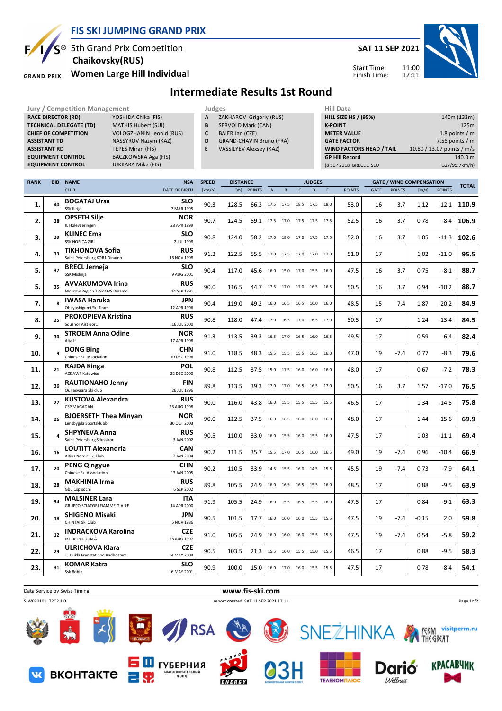

## **FIS SKI JUMPING GRAND PRIX**

<sup>®</sup> 5th Grand Prix Competition  **Chaikovsky(RUS)**

**Women Large Hill Individual GRAND PRIX** 

вконтакте

**SAT 11 SEP 2021**

Start Time: Finish Time:



## **Intermediate Results 1st Round**

**Jury / Competition Management Judges Hill Data**<br> **RACE DIRECTOR (RD)** YOSHIDA Chika (FIS) **A** ZAKHAROV Grigoriy (RUS) **HILL SIZE H RACE DIRECTOR (RD) TECHNICAL DELEGATE (TD)** MATHIS Hubert (SUI) **CHIEF OF COMPETITION** VOLOGZHANIN Leonid (RUS) **ASSISTANT TD** NASSYROV Nazym (KAZ) **ASSISTANT RD TEPES Miran (FIS)**<br>**EQUIPMENT CONTROL BACZKOWSKA Aga (FIS) EQUIPMENT CONTROL EQUIPMENT CONTROL** JUKKARA Mika (FIS) **A** ZAKHAROV Grigoriy (RUS) **B** SERVOLD Mark (CAN) **C** BAIER Jan (CZE) **D** GRAND-CHAVIN Bruno (FRA) **E** VASSILYEV Alexsey (KAZ) **HILL SIZE HS / (95%)** 140m (133m) **K-POINT** 125m **METER VALUE** 1.8 points / m **GATE FACTOR** 6 and 10 and 10 and 10 and 10 and 10 and 10 and 10 and 10 and 10 and 10 and 10 and 10 and 10 and 10 and 10 and 10 and 10 and 10 and 10 and 10 and 10 and 10 and 10 and 10 and 10 and 10 and 10 and 10 and 10 and **WIND FACTORS HEAD / TAIL 10.80 / 13.07 points / m/s GP Hill Record** 140.0 m (8 SEP 2018 BRECL J. SLO G27/95.7km/h)

| <b>RANK</b> | <b>BIB</b>   | <b>NAME</b>                                              | <b>NSA</b>                | <b>SPEED</b> | <b>DISTANCE</b> |               |                | <b>JUDGES</b> |                                                        |      |      |               | <b>GATE / WIND COMPENSATION</b> |               |         |               | <b>TOTAL</b> |
|-------------|--------------|----------------------------------------------------------|---------------------------|--------------|-----------------|---------------|----------------|---------------|--------------------------------------------------------|------|------|---------------|---------------------------------|---------------|---------|---------------|--------------|
|             |              | <b>CLUB</b>                                              | <b>DATE OF BIRTH</b>      | [km/h]       | [m]             | <b>POINTS</b> | $\overline{A}$ | B             | $\mathsf{C}$                                           | D    | E    | <b>POINTS</b> | <b>GATE</b>                     | <b>POINTS</b> | [m/s]   | <b>POINTS</b> |              |
|             | 40           | <b>BOGATAJ Ursa</b>                                      | <b>SLO</b>                | 90.3         | 128.5           | 66.3          |                | 17.5 17.5     | 18.5 17.5                                              |      | 18.0 | 53.0          | 16                              | 3.7           | 1.12    | $-12.1$       | 110.9        |
| 1.          |              | SSK Ilirija                                              | 7 MAR 1995                |              |                 |               |                |               |                                                        |      |      |               |                                 |               |         |               |              |
| 2.          | 38           | <b>OPSETH Silje</b>                                      | <b>NOR</b>                | 90.7         | 124.5           | 59.1          | 17.5           | 17.0          | 17.5 17.5 17.5                                         |      |      | 52.5          | 16                              | 3.7           | 0.78    | $-8.4$        | 106.9        |
|             |              | IL Holevaeringen                                         | 28 APR 1999               |              |                 |               |                |               |                                                        |      |      |               |                                 |               |         |               |              |
| 3.          | 39           | <b>KLINEC Ema</b>                                        | <b>SLO</b>                | 90.8         | 124.0           | 58.2          | 17.0           | 18.0          | 17.0 17.5                                              |      | 17.5 | 52.0          | 16                              | 3.7           | 1.05    | $-11.3$       | 102.6        |
|             |              | <b>SSK NORICA ZIRI</b>                                   | 2 JUL 1998                |              |                 |               |                |               |                                                        |      |      |               |                                 |               |         |               |              |
| 4.          | 33           | <b>TIKHONOVA Sofia</b>                                   | <b>RUS</b>                | 91.2         | 122.5           | 55.5          |                |               | 17.0  17.5  17.0  17.0  17.0                           |      |      | 51.0          | 17                              |               | 1.02    | $-11.0$       | 95.5         |
|             |              | Saint-Petersburg KOR1 Dinamo                             | 16 NOV 1998               |              |                 |               |                |               |                                                        |      |      |               |                                 |               |         |               |              |
| 5.          | 37           | <b>BRECL Jerneja</b>                                     | <b>SLO</b>                | 90.4         | 117.0           | 45.6          |                |               | 16.0 15.0 17.0 15.5 16.0                               |      |      | 47.5          | 16                              | 3.7           | 0.75    | $-8.1$        | 88.7         |
|             |              | SSK Mislinja                                             | 9 AUG 2001                |              |                 |               |                |               |                                                        |      |      |               |                                 |               |         |               |              |
| 5.          | 35           | <b>AVVAKUMOVA Irina</b><br>Moscow Region TSSP OVS Dinamo | <b>RUS</b><br>14 SEP 1991 | 90.0         | 116.5           | 44.7          |                |               | 17.5 17.0 17.0 16.5 16.5                               |      |      | 50.5          | 16                              | 3.7           | 0.94    | $-10.2$       | 88.7         |
|             |              | <b>IWASA Haruka</b>                                      | <b>JPN</b>                |              |                 |               |                |               |                                                        |      |      |               |                                 |               |         |               |              |
| 7.          | $\mathbf{R}$ | Obayashigumi Ski Team                                    | 12 APR 1996               | 90.4         | 119.0           | 49.2          |                |               | 16.0  16.5  16.5  16.0  16.0                           |      |      | 48.5          | 15                              | 7.4           | 1.87    | $-20.2$       | 84.9         |
|             |              | <b>PROKOPIEVA Kristina</b>                               | <b>RUS</b>                |              |                 |               |                |               |                                                        |      |      |               |                                 |               |         |               |              |
| 8.          | 25           | Sdushor Aist uor1                                        | 16 JUL 2000               | 90.8         | 118.0           | 47.4          |                |               | 17.0  16.5  17.0  16.5  17.0                           |      |      | 50.5          | 17                              |               | 1.24    | $-13.4$       | 84.5         |
|             |              | <b>STROEM Anna Odine</b>                                 | <b>NOR</b>                |              |                 |               |                |               |                                                        |      |      |               |                                 |               |         |               |              |
| 9.          | 30           | Alta If                                                  | 17 APR 1998               | 91.3         | 113.5           | 39.3          |                |               | 16.5 17.0 16.5 16.0                                    |      | 16.5 | 49.5          | 17                              |               | 0.59    | $-6.4$        | 82.4         |
|             |              | <b>DONG Bing</b>                                         | <b>CHN</b>                |              |                 |               |                |               |                                                        |      |      |               |                                 |               |         |               |              |
| 10.         | 9            | Chinese Ski association                                  | 10 DEC 1996               | 91.0         | 118.5           | 48.3          |                |               | 15.5 15.5 15.5 16.5                                    |      | 16.0 | 47.0          | 19                              | $-7.4$        | 0.77    | $-8.3$        | 79.6         |
| 11.         | 21           | <b>RAJDA Kinga</b>                                       | <b>POL</b>                | 90.8         |                 |               | 15.0           | 17.5          |                                                        |      |      |               |                                 |               |         | $-7.2$        | 78.3         |
|             |              | AZS AWF Katowice                                         | 22 DEC 2000               |              | 112.5           | 37.5          |                |               | 16.0 16.0                                              |      | 16.0 | 48.0          | 17                              |               | 0.67    |               |              |
| 12.         | 36           | <b>RAUTIONAHO Jenny</b>                                  | <b>FIN</b>                | 89.8         | 113.5           | 39.3          | 17.0           | 17.0          | 16.5 16.5                                              |      | 17.0 | 50.5          | 16                              | 3.7           | 1.57    | $-17.0$       | 76.5         |
|             |              | Ounasyaara Ski club                                      | 26 JUL 1996               |              |                 |               |                |               |                                                        |      |      |               |                                 |               |         |               |              |
| 13.         | 27           | <b>KUSTOVA Alexandra</b>                                 | <b>RUS</b>                | 90.0         | 116.0           | 43.8          | 16.0           | 15.5          | 15.5                                                   | 15.5 | 15.5 | 46.5          | 17                              |               | 1.34    | $-14.5$       | 75.8         |
|             |              | CSP MAGADAN                                              | 26 AUG 1998               |              |                 |               |                |               |                                                        |      |      |               |                                 |               |         |               |              |
| 14.         | 26           | <b>BJOERSETH Thea Minyan</b>                             | <b>NOR</b>                | 90.0         | 112.5           | 37.5          | 16.0           | 16.5          | 16.0 16.0                                              |      | 16.0 | 48.0          | 17                              |               | 1.44    | $-15.6$       | 69.9         |
|             |              | Lensbygda Sportsklubb                                    | 30 OCT 2003               |              |                 |               |                |               |                                                        |      |      |               |                                 |               |         |               |              |
| 15.         | 4            | <b>SHPYNEVA Anna</b>                                     | <b>RUS</b>                | 90.5         | 110.0           | 33.0          | 16.0           | 15.5          | 16.0 15.5                                              |      | 16.0 | 47.5          | 17                              |               | 1.03    | $-11.1$       | 69.4         |
|             |              | Saint-Petersburg Sdusshor                                | 3 JAN 2002                |              |                 |               |                |               |                                                        |      |      |               |                                 |               |         |               |              |
| 16.         | 16           | <b>LOUTITT Alexandria</b><br>Altius Nordic Ski Club      | CAN<br>7 JAN 2004         | 90.2         | 111.5           | 35.7          | 15.5           | 17.0          | 16.5 16.0                                              |      | 16.5 | 49.0          | 19                              | $-7.4$        | 0.96    | $-10.4$       | 66.9         |
|             |              |                                                          |                           |              |                 |               |                |               |                                                        |      |      |               |                                 |               |         |               |              |
| 17.         | 20           | <b>PENG Qingyue</b><br>Chinese Ski Association           | <b>CHN</b><br>13 JAN 2005 | 90.2         | 110.5           | 33.9          |                | 14.5 15.5     | 16.0 14.5 15.5                                         |      |      | 45.5          | 19                              | $-7.4$        | 0.73    | $-7.9$        | 64.1         |
|             |              | <b>MAKHINIA Irma</b>                                     | <b>RUS</b>                |              |                 |               |                |               |                                                        |      |      |               |                                 |               |         |               |              |
| 18.         | 28           | Gbu Csp sochi                                            | 6 SEP 2002                | 89.8         | 105.5           | 24.9          |                |               | 16.0 16.5 16.5 15.5 16.0                               |      |      | 48.5          | 17                              |               | 0.88    | $-9.5$        | 63.9         |
|             |              | <b>MALSINER Lara</b>                                     | <b>ITA</b>                |              |                 |               |                |               |                                                        |      |      |               |                                 |               |         |               |              |
| 19.         | 34           | <b>GRUPPO SCIATORI FIAMME GIALLE</b>                     | 14 APR 2000               | 91.9         | 105.5           | 24.9          |                |               | $16.0 \qquad 15.5 \qquad 16.5 \qquad 15.5 \qquad 16.0$ |      |      | 47.5          | 17                              |               | 0.84    | $-9.1$        | 63.3         |
|             |              | <b>SHIGENO Misaki</b>                                    | <b>JPN</b>                |              |                 |               |                |               |                                                        |      |      |               |                                 |               |         |               |              |
| 20.         | 18           | CHINTAI Ski Club                                         | 5 NOV 1986                | 90.5         | 101.5           | 17.7          |                |               | 16.0 16.0 16.0 15.5 15.5                               |      |      | 47.5          | 19                              | $-7.4$        | $-0.15$ | 2.0           | 59.8         |
|             | 12           | <b>INDRACKOVA Karolina</b>                               | <b>CZE</b>                |              |                 |               |                |               |                                                        |      |      |               |                                 |               |         |               |              |
| 21.         |              | JKL Desna-DUKLA                                          | 26 AUG 1997               | 91.0         | 105.5           | 24.9          |                | 16.0 16.0     | 16.0 15.5 15.5                                         |      |      | 47.5          | 19                              | $-7.4$        | 0.54    | $-5.8$        | 59.2         |
| 22.         | 29           | <b>ULRICHOVA Klara</b>                                   | <b>CZE</b>                | 90.5         | 103.5           | 21.3          |                | 15.5 16.0     | 15.5 15.0 15.5                                         |      |      | 46.5          | 17                              |               | 0.88    | $-9.5$        | 58.3         |
|             |              | TJ Dukla Frenstat pod Radhostem                          | 14 MAY 2004               |              |                 |               |                |               |                                                        |      |      |               |                                 |               |         |               |              |
| 23.         | 31           | <b>KOMAR Katra</b>                                       | <b>SLO</b>                | 90.9         | 100.0           | 15.0          |                |               | 16.0 17.0 16.0 15.5 15.5                               |      |      | 47.5          | 17                              |               | 0.78    | $-8.4$        | 54.1         |
|             |              | Ssk Bohinj                                               | 16 MAY 2001               |              |                 |               |                |               |                                                        |      |      |               |                                 |               |         |               |              |



**ENERGY** 

TEAEKOMMAIOC

Wellness

ВОРИТЕЛЬНІ<br>ФОНД